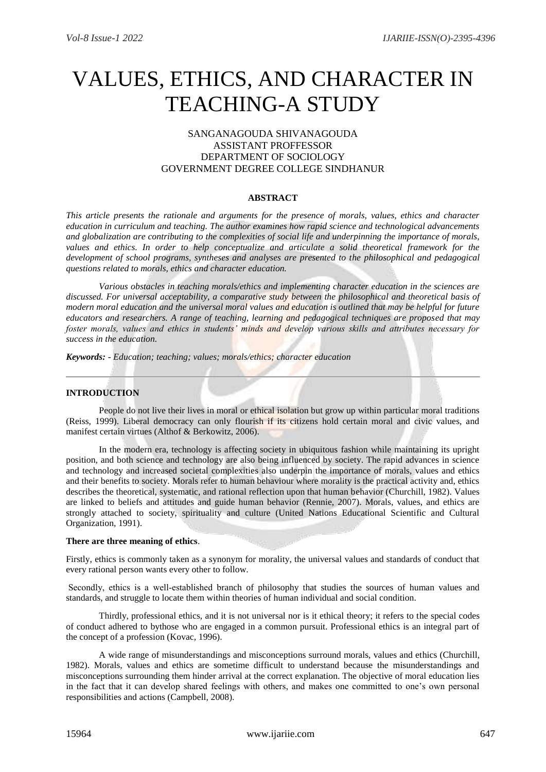# VALUES, ETHICS, AND CHARACTER IN TEACHING-A STUDY

## SANGANAGOUDA SHIVANAGOUDA ASSISTANT PROFFESSOR DEPARTMENT OF SOCIOLOGY GOVERNMENT DEGREE COLLEGE SINDHANUR

### **ABSTRACT**

*This article presents the rationale and arguments for the presence of morals, values, ethics and character education in curriculum and teaching. The author examines how rapid science and technological advancements and globalization are contributing to the complexities of social life and underpinning the importance of morals,*  values and ethics. In order to help conceptualize and articulate a solid theoretical framework for the *development of school programs, syntheses and analyses are presented to the philosophical and pedagogical questions related to morals, ethics and character education.* 

*Various obstacles in teaching morals/ethics and implementing character education in the sciences are discussed. For universal acceptability, a comparative study between the philosophical and theoretical basis of modern moral education and the universal moral values and education is outlined that may be helpful for future educators and researchers. A range of teaching, learning and pedagogical techniques are proposed that may foster morals, values and ethics in students' minds and develop various skills and attributes necessary for success in the education.*

*Keywords: - Education; teaching; values; morals/ethics; character education*

## **INTRODUCTION**

People do not live their lives in moral or ethical isolation but grow up within particular moral traditions (Reiss, 1999). Liberal democracy can only flourish if its citizens hold certain moral and civic values, and manifest certain virtues (Althof & Berkowitz, 2006).

In the modern era, technology is affecting society in ubiquitous fashion while maintaining its upright position, and both science and technology are also being influenced by society. The rapid advances in science and technology and increased societal complexities also underpin the importance of morals, values and ethics and their benefits to society. Morals refer to human behaviour where morality is the practical activity and, ethics describes the theoretical, systematic, and rational reflection upon that human behavior (Churchill, 1982). Values are linked to beliefs and attitudes and guide human behavior (Rennie, 2007). Morals, values, and ethics are strongly attached to society, spirituality and culture (United Nations Educational Scientific and Cultural Organization, 1991).

#### **There are three meaning of ethics**.

Firstly, ethics is commonly taken as a synonym for morality, the universal values and standards of conduct that every rational person wants every other to follow.

Secondly, ethics is a well-established branch of philosophy that studies the sources of human values and standards, and struggle to locate them within theories of human individual and social condition.

Thirdly, professional ethics, and it is not universal nor is it ethical theory; it refers to the special codes of conduct adhered to bythose who are engaged in a common pursuit. Professional ethics is an integral part of the concept of a profession (Kovac, 1996).

A wide range of misunderstandings and misconceptions surround morals, values and ethics (Churchill, 1982). Morals, values and ethics are sometime difficult to understand because the misunderstandings and misconceptions surrounding them hinder arrival at the correct explanation. The objective of moral education lies in the fact that it can develop shared feelings with others, and makes one committed to one's own personal responsibilities and actions (Campbell, 2008).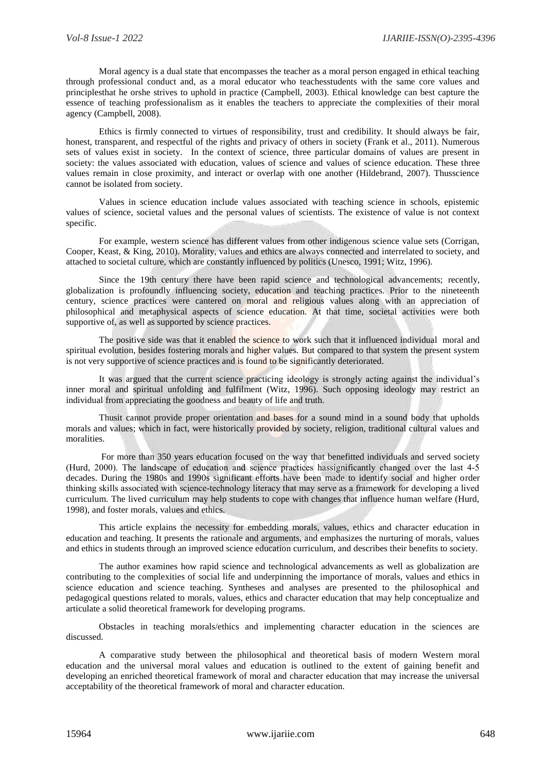Moral agency is a dual state that encompasses the teacher as a moral person engaged in ethical teaching through professional conduct and, as a moral educator who teachesstudents with the same core values and principlesthat he orshe strives to uphold in practice (Campbell, 2003). Ethical knowledge can best capture the essence of teaching professionalism as it enables the teachers to appreciate the complexities of their moral agency (Campbell, 2008).

Ethics is firmly connected to virtues of responsibility, trust and credibility. It should always be fair, honest, transparent, and respectful of the rights and privacy of others in society (Frank et al., 2011). Numerous sets of values exist in society. In the context of science, three particular domains of values are present in society: the values associated with education, values of science and values of science education. These three values remain in close proximity, and interact or overlap with one another (Hildebrand, 2007). Thusscience cannot be isolated from society.

Values in science education include values associated with teaching science in schools, epistemic values of science, societal values and the personal values of scientists. The existence of value is not context specific.

For example, western science has different values from other indigenous science value sets (Corrigan, Cooper, Keast, & King, 2010). Morality, values and ethics are always connected and interrelated to society, and attached to societal culture, which are constantly influenced by politics (Unesco, 1991; Witz, 1996).

Since the 19th century there have been rapid science and technological advancements; recently, globalization is profoundly influencing society, education and teaching practices. Prior to the nineteenth century, science practices were cantered on moral and religious values along with an appreciation of philosophical and metaphysical aspects of science education. At that time, societal activities were both supportive of, as well as supported by science practices.

The positive side was that it enabled the science to work such that it influenced individual moral and spiritual evolution, besides fostering morals and higher values. But compared to that system the present system is not very supportive of science practices and is found to be significantly deteriorated.

It was argued that the current science practicing ideology is strongly acting against the individual's inner moral and spiritual unfolding and fulfilment (Witz, 1996). Such opposing ideology may restrict an individual from appreciating the goodness and beauty of life and truth.

Thusit cannot provide proper orientation and bases for a sound mind in a sound body that upholds morals and values; which in fact, were historically provided by society, religion, traditional cultural values and moralities.

For more than 350 years education focused on the way that benefitted individuals and served society (Hurd, 2000). The landscape of education and science practices hassignificantly changed over the last 4‐5 decades. During the 1980s and 1990s significant efforts have been made to identify social and higher order thinking skills associated with science‐technology literacy that may serve as a framework for developing a lived curriculum. The lived curriculum may help students to cope with changes that influence human welfare (Hurd, 1998), and foster morals, values and ethics.

This article explains the necessity for embedding morals, values, ethics and character education in education and teaching. It presents the rationale and arguments, and emphasizes the nurturing of morals, values and ethics in students through an improved science education curriculum, and describes their benefits to society.

The author examines how rapid science and technological advancements as well as globalization are contributing to the complexities of social life and underpinning the importance of morals, values and ethics in science education and science teaching. Syntheses and analyses are presented to the philosophical and pedagogical questions related to morals, values, ethics and character education that may help conceptualize and articulate a solid theoretical framework for developing programs.

Obstacles in teaching morals/ethics and implementing character education in the sciences are discussed.

A comparative study between the philosophical and theoretical basis of modern Western moral education and the universal moral values and education is outlined to the extent of gaining benefit and developing an enriched theoretical framework of moral and character education that may increase the universal acceptability of the theoretical framework of moral and character education.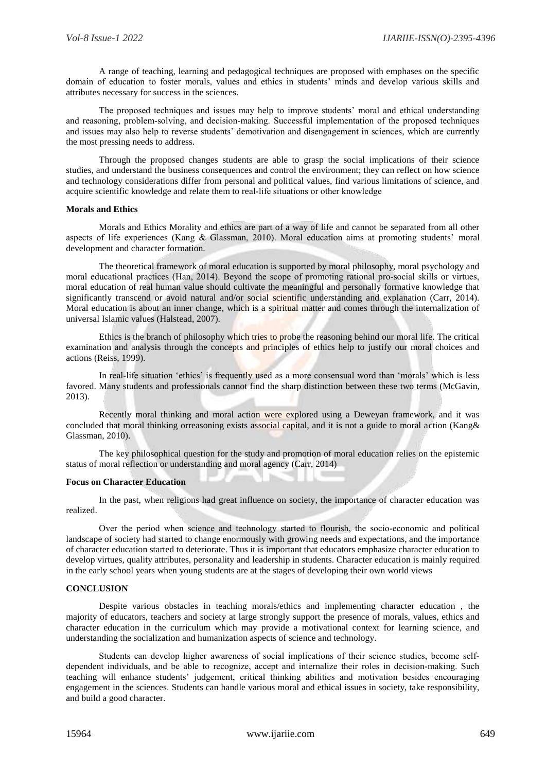A range of teaching, learning and pedagogical techniques are proposed with emphases on the specific domain of education to foster morals, values and ethics in students' minds and develop various skills and attributes necessary for success in the sciences.

The proposed techniques and issues may help to improve students' moral and ethical understanding and reasoning, problem‐solving, and decision‐making. Successful implementation of the proposed techniques and issues may also help to reverse students' demotivation and disengagement in sciences, which are currently the most pressing needs to address.

Through the proposed changes students are able to grasp the social implications of their science studies, and understand the business consequences and control the environment; they can reflect on how science and technology considerations differ from personal and political values, find various limitations of science, and acquire scientific knowledge and relate them to real‐life situations or other knowledge

#### **Morals and Ethics**

Morals and Ethics Morality and ethics are part of a way of life and cannot be separated from all other aspects of life experiences (Kang & Glassman, 2010). Moral education aims at promoting students' moral development and character formation.

The theoretical framework of moral education is supported by moral philosophy, moral psychology and moral educational practices (Han, 2014). Beyond the scope of promoting rational pro‐social skills or virtues, moral education of real human value should cultivate the meaningful and personally formative knowledge that significantly transcend or avoid natural and/or social scientific understanding and explanation (Carr, 2014). Moral education is about an inner change, which is a spiritual matter and comes through the internalization of universal Islamic values (Halstead, 2007).

Ethics is the branch of philosophy which tries to probe the reasoning behind our moral life. The critical examination and analysis through the concepts and principles of ethics help to justify our moral choices and actions (Reiss, 1999).

In real-life situation 'ethics' is frequently used as a more consensual word than 'morals' which is less favored. Many students and professionals cannot find the sharp distinction between these two terms (McGavin, 2013).

Recently moral thinking and moral action were explored using a Deweyan framework, and it was concluded that moral thinking orreasoning exists associal capital, and it is not a guide to moral action (Kang& Glassman, 2010).

The key philosophical question for the study and promotion of moral education relies on the epistemic status of moral reflection or understanding and moral agency (Carr, 2014)

#### **Focus on Character Education**

In the past, when religions had great influence on society, the importance of character education was realized.

Over the period when science and technology started to flourish, the socio‐economic and political landscape of society had started to change enormously with growing needs and expectations, and the importance of character education started to deteriorate. Thus it is important that educators emphasize character education to develop virtues, quality attributes, personality and leadership in students. Character education is mainly required in the early school years when young students are at the stages of developing their own world views

### **CONCLUSION**

Despite various obstacles in teaching morals/ethics and implementing character education , the majority of educators, teachers and society at large strongly support the presence of morals, values, ethics and character education in the curriculum which may provide a motivational context for learning science, and understanding the socialization and humanization aspects of science and technology.

Students can develop higher awareness of social implications of their science studies, become selfdependent individuals, and be able to recognize, accept and internalize their roles in decision-making. Such teaching will enhance students' judgement, critical thinking abilities and motivation besides encouraging engagement in the sciences. Students can handle various moral and ethical issues in society, take responsibility, and build a good character.